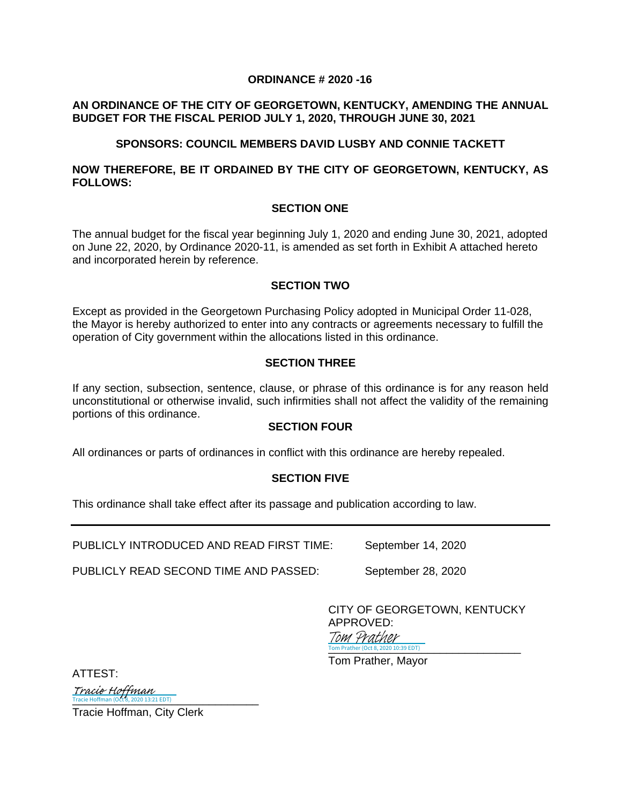# **ORDINANCE # 2020 -16**

# **AN ORDINANCE OF THE CITY OF GEORGETOWN, KENTUCKY, AMENDING THE ANNUAL BUDGET FOR THE FISCAL PERIOD JULY 1, 2020, THROUGH JUNE 30, 2021**

# **SPONSORS: COUNCIL MEMBERS DAVID LUSBY AND CONNIE TACKETT**

# **NOW THEREFORE, BE IT ORDAINED BY THE CITY OF GEORGETOWN, KENTUCKY, AS FOLLOWS:**

# **SECTION ONE**

The annual budget for the fiscal year beginning July 1, 2020 and ending June 30, 2021, adopted on June 22, 2020, by Ordinance 2020-11, is amended as set forth in Exhibit A attached hereto and incorporated herein by reference.

# **SECTION TWO**

Except as provided in the Georgetown Purchasing Policy adopted in Municipal Order 11-028, the Mayor is hereby authorized to enter into any contracts or agreements necessary to fulfill the operation of City government within the allocations listed in this ordinance.

# **SECTION THREE**

If any section, subsection, sentence, clause, or phrase of this ordinance is for any reason held unconstitutional or otherwise invalid, such infirmities shall not affect the validity of the remaining portions of this ordinance.

# **SECTION FOUR**

All ordinances or parts of ordinances in conflict with this ordinance are hereby repealed.

# **SECTION FIVE**

This ordinance shall take effect after its passage and publication according to law.

PUBLICLY INTRODUCED AND READ FIRST TIME: September 14, 2020

PUBLICLY READ SECOND TIME AND PASSED: September 28, 2020

CITY OF GEORGETOWN, KENTUCKY APPROVED: Tom Prather

ATTEST:

[\\_\\_\\_\\_\\_\\_\\_\\_\\_\\_\\_\\_\\_\\_\\_\\_\\_\\_\\_\\_\\_\\_\\_\\_\\_\\_\\_\\_\\_\\_](https://na1.documents.adobe.com/verifier?tx=CBJCHBCAABAA5Bdq1_yFeqPHjTtrOOok0ZKAPYxs4RgT) Tracie Hoffman (Oct 8, 2020 13:21 EDT) Tracie Hoffman

Tracie Hoffman, City Clerk

Tom Prather (Oct 8, 2020 10:39 EDT)

Tom Prather, Mayor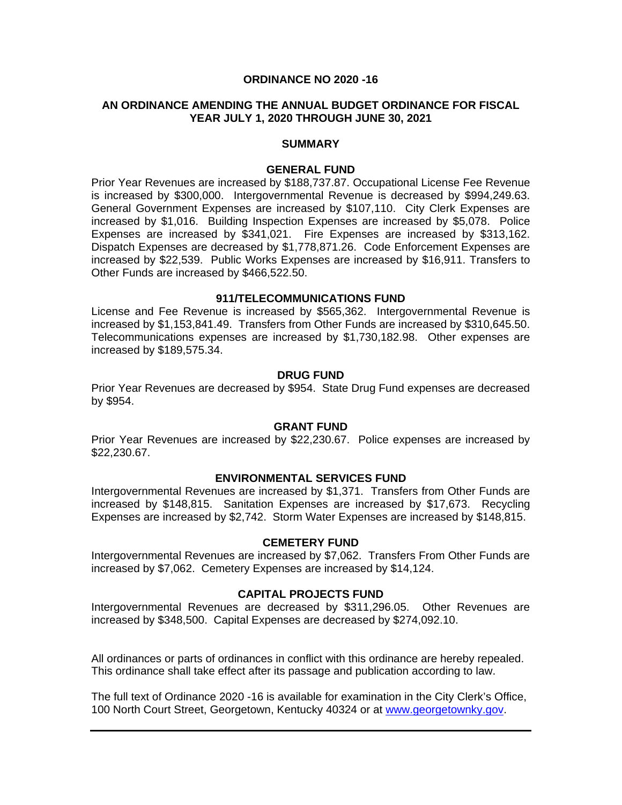#### **ORDINANCE NO 2020 -16**

### **AN ORDINANCE AMENDING THE ANNUAL BUDGET ORDINANCE FOR FISCAL YEAR JULY 1, 2020 THROUGH JUNE 30, 2021**

#### **SUMMARY**

#### **GENERAL FUND**

Prior Year Revenues are increased by \$188,737.87. Occupational License Fee Revenue is increased by \$300,000. Intergovernmental Revenue is decreased by \$994,249.63. General Government Expenses are increased by \$107,110. City Clerk Expenses are increased by \$1,016. Building Inspection Expenses are increased by \$5,078. Police Expenses are increased by \$341,021. Fire Expenses are increased by \$313,162. Dispatch Expenses are decreased by \$1,778,871.26. Code Enforcement Expenses are increased by \$22,539. Public Works Expenses are increased by \$16,911. Transfers to Other Funds are increased by \$466,522.50.

#### **911/TELECOMMUNICATIONS FUND**

License and Fee Revenue is increased by \$565,362. Intergovernmental Revenue is increased by \$1,153,841.49. Transfers from Other Funds are increased by \$310,645.50. Telecommunications expenses are increased by \$1,730,182.98. Other expenses are increased by \$189,575.34.

#### **DRUG FUND**

Prior Year Revenues are decreased by \$954. State Drug Fund expenses are decreased by \$954.

#### **GRANT FUND**

Prior Year Revenues are increased by \$22,230.67. Police expenses are increased by \$22,230.67.

#### **ENVIRONMENTAL SERVICES FUND**

Intergovernmental Revenues are increased by \$1,371. Transfers from Other Funds are increased by \$148,815. Sanitation Expenses are increased by \$17,673. Recycling Expenses are increased by \$2,742. Storm Water Expenses are increased by \$148,815.

#### **CEMETERY FUND**

Intergovernmental Revenues are increased by \$7,062. Transfers From Other Funds are increased by \$7,062. Cemetery Expenses are increased by \$14,124.

#### **CAPITAL PROJECTS FUND**

Intergovernmental Revenues are decreased by \$311,296.05. Other Revenues are increased by \$348,500. Capital Expenses are decreased by \$274,092.10.

All ordinances or parts of ordinances in conflict with this ordinance are hereby repealed. This ordinance shall take effect after its passage and publication according to law.

The full text of Ordinance 2020 -16 is available for examination in the City Clerk's Office, 100 North Court Street, Georgetown, Kentucky 40324 or at [www.georgetownky.gov.](http://www.georgetownky.gov/)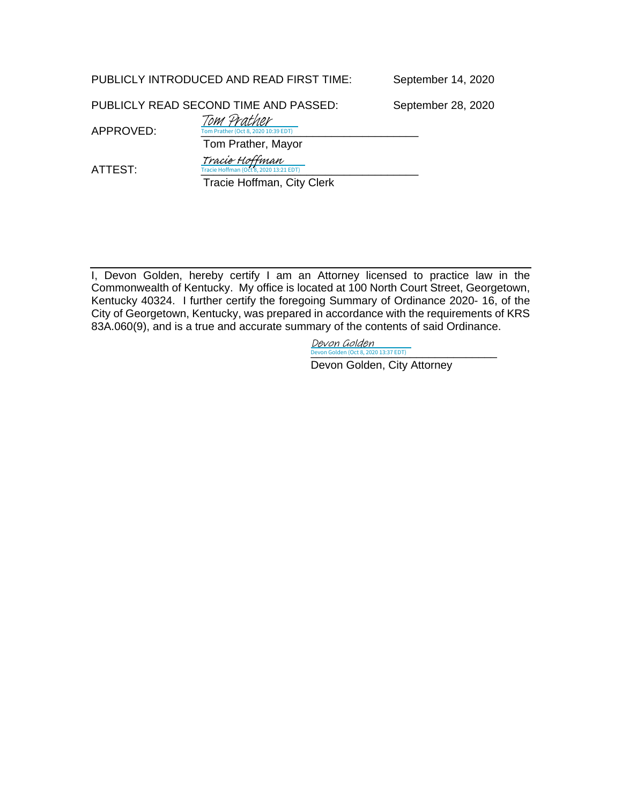September 14, 2020

PUBLICLY READ SECOND TIME AND PASSED: September 28, 2020

APPROVED: Tom Prather (Oct 8, 2020 10:39 EDT) Tom Prather

 Tom Prather, Mayor Tracie Hoffman

ATTEST: Tracie Hoffman (O

Tracie Hoffman, City Clerk

 $\overline{202013:21 EDT}$ 

I, Devon Golden, hereby certify I am an Attorney licensed to practice law in the Commonwealth of Kentucky. My office is located at 100 North Court Street, Georgetown, Kentucky 40324. I further certify the foregoing Summary of Ordinance 2020- 16, of the City of Georgetown, Kentucky, was prepared in accordance with the requirements of KRS 83A.060(9), and is a true and accurate summary of the contents of said Ordinance.

> [\\_\\_\\_\\_\\_\\_\\_\\_\\_\\_\\_\\_\\_\\_\\_\\_\\_\\_\\_\\_\\_\\_\\_\\_\\_\\_\\_\\_\\_\\_](https://na1.documents.adobe.com/verifier?tx=CBJCHBCAABAA5Bdq1_yFeqPHjTtrOOok0ZKAPYxs4RgT) Devon Golden (Oct 8, 2020 13:37 EDT) Devon Golden

Devon Golden, City Attorney